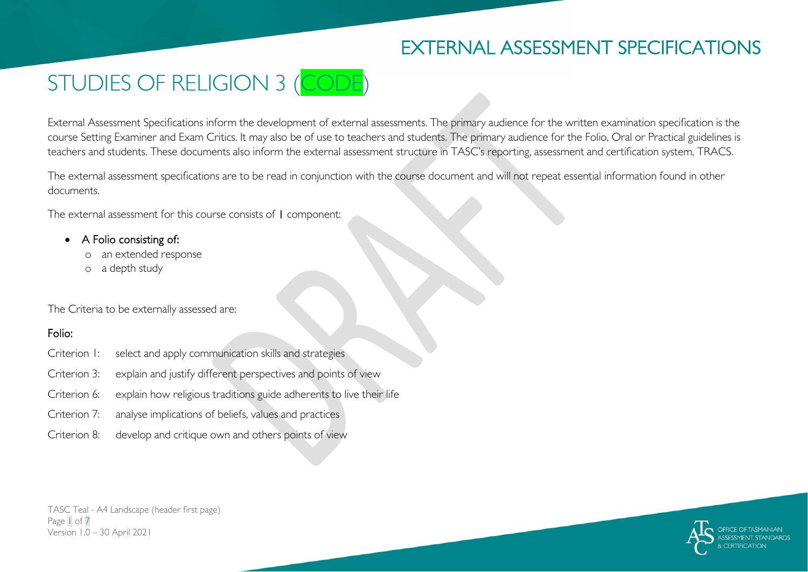# EXTERNAL ASSESSMENT SPECIFICATIONS

# STUDIES OF RELIGION 3 (CODE)

External Assessment Specifications inform the development of external assessments. The primary audience for the written examination specification is the course Setting Examiner and Exam Critics. It may also be of use to teachers and students. The primary audience for the Folio, Oral or Practical guidelines is teachers and students. These documents also inform the external assessment structure in TASC's reporting, assessment and certification system, TRACS.

The external assessment specifications are to be read in conjunction with the course document and will not repeat essential information found in other documents.

The external assessment for this course consists of 1 component:

- A Folio consisting of:
	- o an extended response
	- o a depth study

The Criteria to be externally assessed are:

#### Folio:

- Criterion 1: select and apply communication skills and strategies
- Criterion 3: explain and justify different perspectives and points of view
- Criterion 6: explain how religious traditions guide adherents to live their life
- Criterion 7: analyse implications of beliefs, values and practices
- Criterion 8: develop and critique own and others points of view

TASC Teal - A4 Landscape (header first page) Page 1 of 7 Version 1.0 – 30 April 2021

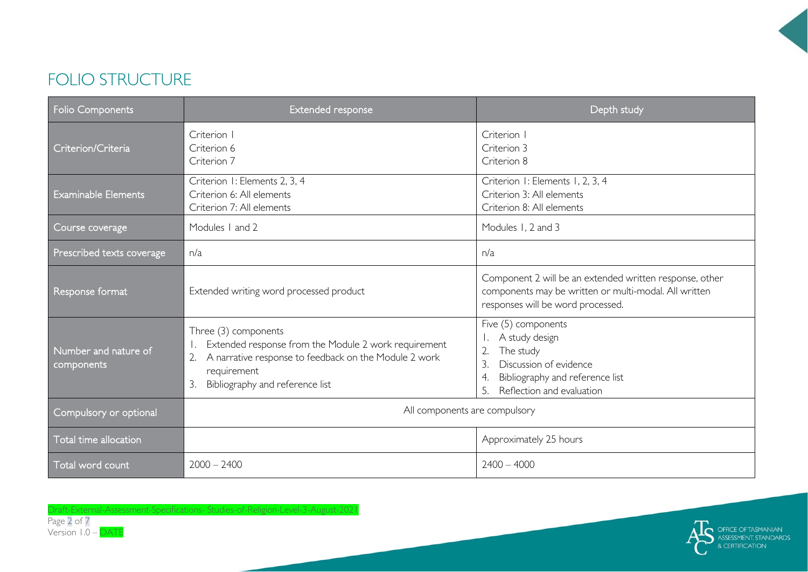#### FOLIO STRUCTURE

| Folio Components                   | Extended response                                                                                                                                                                             | Depth study                                                                                                                                                          |
|------------------------------------|-----------------------------------------------------------------------------------------------------------------------------------------------------------------------------------------------|----------------------------------------------------------------------------------------------------------------------------------------------------------------------|
| Criterion/Criteria                 | Criterion I<br>Criterion 6<br>Criterion 7                                                                                                                                                     | Criterion I<br>Criterion 3<br>Criterion 8                                                                                                                            |
| <b>Examinable Elements</b>         | Criterion I: Elements 2, 3, 4<br>Criterion 6: All elements<br>Criterion 7: All elements                                                                                                       | Criterion I: Elements I, 2, 3, 4<br>Criterion 3: All elements<br>Criterion 8: All elements                                                                           |
| Course coverage                    | Modules I and 2                                                                                                                                                                               | Modules 1, 2 and 3                                                                                                                                                   |
| Prescribed texts coverage          | n/a                                                                                                                                                                                           | n/a                                                                                                                                                                  |
| Response format                    | Extended writing word processed product                                                                                                                                                       | Component 2 will be an extended written response, other<br>components may be written or multi-modal. All written<br>responses will be word processed.                |
| Number and nature of<br>components | Three (3) components<br>Extended response from the Module 2 work requirement<br>A narrative response to feedback on the Module 2 work<br>requirement<br>Bibliography and reference list<br>3. | Five (5) components<br>A study design<br>2.<br>The study<br>3.<br>Discussion of evidence<br>Bibliography and reference list<br>4.<br>5.<br>Reflection and evaluation |
| Compulsory or optional             | All components are compulsory                                                                                                                                                                 |                                                                                                                                                                      |
| Total time allocation              |                                                                                                                                                                                               | Approximately 25 hours                                                                                                                                               |
| Total word count                   | $2000 - 2400$                                                                                                                                                                                 | $2400 - 4000$                                                                                                                                                        |



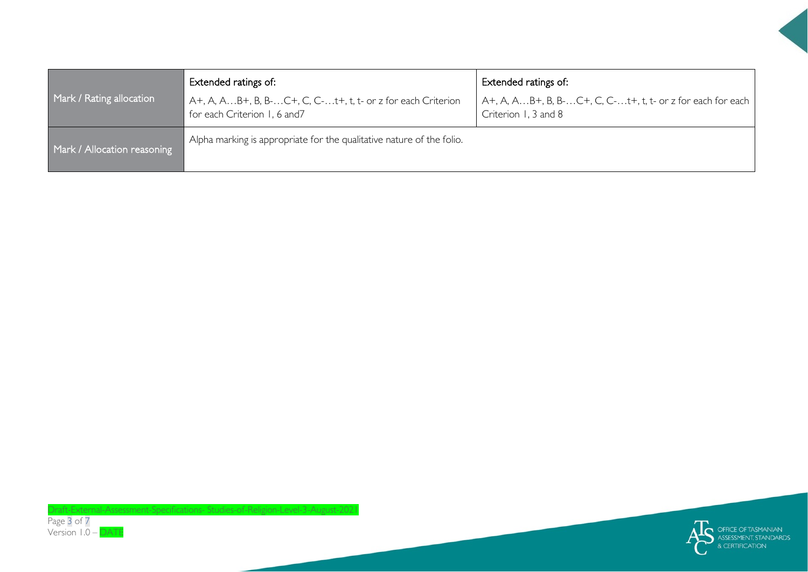| Mark / Rating allocation    | Extended ratings of:                                                                        | Extended ratings of:                                                                  |
|-----------------------------|---------------------------------------------------------------------------------------------|---------------------------------------------------------------------------------------|
|                             | A+, A, AB+, B, B-C+, C, C-t+, t, t- or z for each Criterion<br>for each Criterion 1, 6 and7 | A+, A, A…B+, B, B-…C+, C, C-…t+, t, t- or z for each for each<br>Criterion 1, 3 and 8 |
| Mark / Allocation reasoning | Alpha marking is appropriate for the qualitative nature of the folio.                       |                                                                                       |

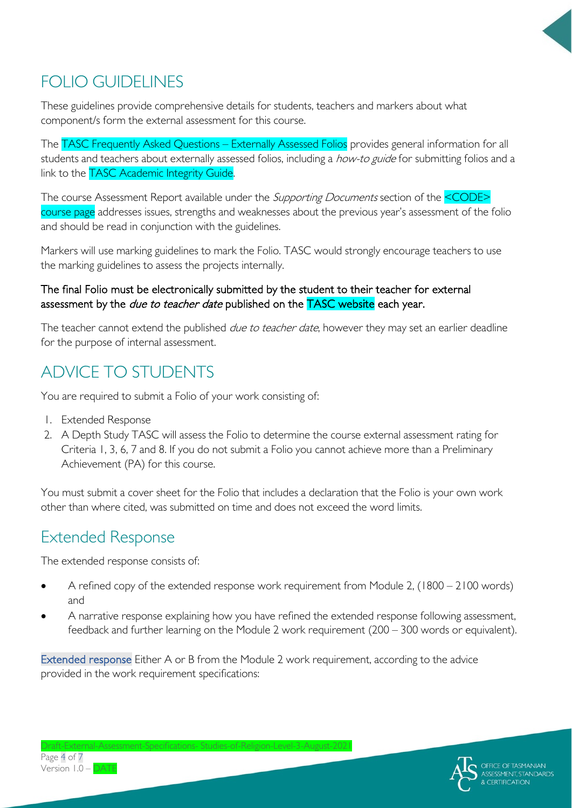

# FOLIO GUIDELINES

These guidelines provide comprehensive details for students, teachers and markers about what component/s form the external assessment for this course.

The TASC Frequently Asked Questions – Externally Assessed Folios provides general information for all students and teachers about externally assessed folios, including a how-to guide for submitting folios and a link to the TASC Academic Integrity Guide.

The course Assessment Report available under the *Supporting Documents* section of the **<CODE>** course page addresses issues, strengths and weaknesses about the previous year's assessment of the folio and should be read in conjunction with the guidelines.

Markers will use marking guidelines to mark the Folio. TASC would strongly encourage teachers to use the marking guidelines to assess the projects internally.

#### The final Folio must be electronically submitted by the student to their teacher for external assessment by the *due to teacher date* published on the **TASC website** each year.

The teacher cannot extend the published *due to teacher date*, however they may set an earlier deadline for the purpose of internal assessment.

# ADVICE TO STUDENTS

You are required to submit a Folio of your work consisting of:

- 1. Extended Response
- 2. A Depth Study TASC will assess the Folio to determine the course external assessment rating for Criteria 1, 3, 6, 7 and 8. If you do not submit a Folio you cannot achieve more than a Preliminary Achievement (PA) for this course.

You must submit a cover sheet for the Folio that includes a declaration that the Folio is your own work other than where cited, was submitted on time and does not exceed the word limits.

#### Extended Response

The extended response consists of:

- A refined copy of the extended response work requirement from Module 2, (1800 2100 words) and
- A narrative response explaining how you have refined the extended response following assessment, feedback and further learning on the Module 2 work requirement (200 – 300 words or equivalent).

Extended response Either A or B from the Module 2 work requirement, according to the advice provided in the work requirement specifications:

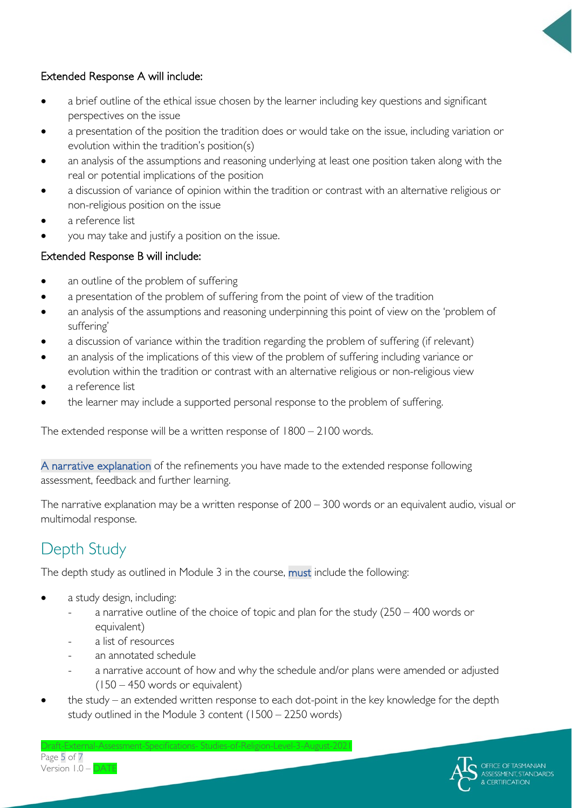

#### Extended Response A will include:

- a brief outline of the ethical issue chosen by the learner including key questions and significant perspectives on the issue
- a presentation of the position the tradition does or would take on the issue, including variation or evolution within the tradition's position(s)
- an analysis of the assumptions and reasoning underlying at least one position taken along with the real or potential implications of the position
- a discussion of variance of opinion within the tradition or contrast with an alternative religious or non-religious position on the issue
- a reference list
- you may take and justify a position on the issue.

#### Extended Response B will include:

- an outline of the problem of suffering
- a presentation of the problem of suffering from the point of view of the tradition
- an analysis of the assumptions and reasoning underpinning this point of view on the 'problem of suffering'
- a discussion of variance within the tradition regarding the problem of suffering (if relevant)
- an analysis of the implications of this view of the problem of suffering including variance or evolution within the tradition or contrast with an alternative religious or non-religious view
- a reference list
- the learner may include a supported personal response to the problem of suffering.

The extended response will be a written response of 1800 – 2100 words.

A narrative explanation of the refinements you have made to the extended response following assessment, feedback and further learning.

The narrative explanation may be a written response of 200 – 300 words or an equivalent audio, visual or multimodal response.

# Depth Study

The depth study as outlined in Module 3 in the course, must include the following:

Draft-External-Assessment-Specifications- Studies-of-Religion-Level-3-August-2021

- a study design, including:
	- a narrative outline of the choice of topic and plan for the study  $(250 400$  words or equivalent)
	- a list of resources
	- an annotated schedule
	- a narrative account of how and why the schedule and/or plans were amended or adjusted (150 – 450 words or equivalent)
- the study an extended written response to each dot-point in the key knowledge for the depth study outlined in the Module 3 content (1500 – 2250 words)

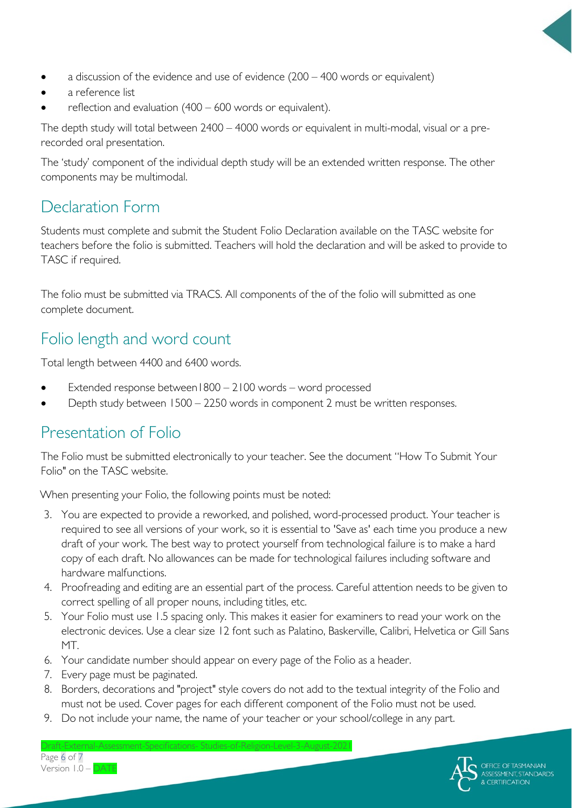- a discussion of the evidence and use of evidence (200 400 words or equivalent)
- a reference list
- reflection and evaluation  $(400 600$  words or equivalent).

The depth study will total between 2400 – 4000 words or equivalent in multi-modal, visual or a prerecorded oral presentation.

The 'study' component of the individual depth study will be an extended written response. The other components may be multimodal.

## Declaration Form

Students must complete and submit the Student Folio Declaration available on the TASC website for teachers before the folio is submitted. Teachers will hold the declaration and will be asked to provide to TASC if required.

The folio must be submitted via TRACS. All components of the of the folio will submitted as one complete document.

### Folio length and word count

Total length between 4400 and 6400 words.

- Extended response between1800 2100 words word processed
- Depth study between 1500 2250 words in component 2 must be written responses.

# Presentation of Folio

The Folio must be submitted electronically to your teacher. See the document "How To Submit Your Folio" on the TASC website.

When presenting your Folio, the following points must be noted:

- 3. You are expected to provide a reworked, and polished, word-processed product. Your teacher is required to see all versions of your work, so it is essential to 'Save as' each time you produce a new draft of your work. The best way to protect yourself from technological failure is to make a hard copy of each draft. No allowances can be made for technological failures including software and hardware malfunctions.
- 4. Proofreading and editing are an essential part of the process. Careful attention needs to be given to correct spelling of all proper nouns, including titles, etc.
- 5. Your Folio must use 1.5 spacing only. This makes it easier for examiners to read your work on the electronic devices. Use a clear size 12 font such as Palatino, Baskerville, Calibri, Helvetica or Gill Sans MT.
- 6. Your candidate number should appear on every page of the Folio as a header.
- 7. Every page must be paginated.
- 8. Borders, decorations and "project" style covers do not add to the textual integrity of the Folio and must not be used. Cover pages for each different component of the Folio must not be used.
- 9. Do not include your name, the name of your teacher or your school/college in any part.